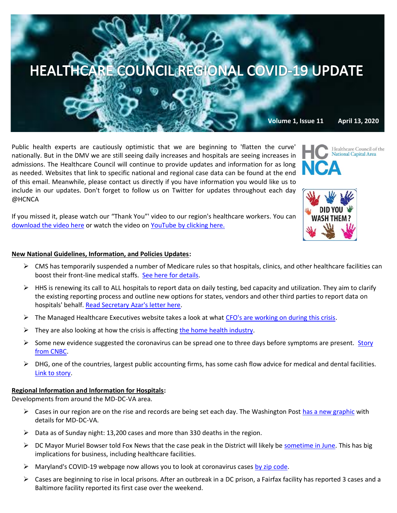

Public health experts are cautiously optimistic that we are beginning to 'flatten the curve' nationally. But in the DMV we are still seeing daily increases and hospitals are seeing increases in admissions. The Healthcare Council will continue to provide updates and information for as long as needed. Websites that link to specific national and regional case data can be found at the end of this email. Meanwhile, please contact us directly if you have information you would like us to include in our updates. Don't forget to follow us on Twitter for updates throughout each day @HCNCA

If you missed it, please watch our "Thank You"' video to our region's healthcare workers. You can [download the video here](https://we.tl/t-0B45ap5TRt#_blank) or watch the video on [YouTube by clicking here.](https://www.youtube.com/watch?v=HBYUCBxwV4E&feature=youtu.be)

#### **New National Guidelines, Information, and Policies Updates:**

- $\triangleright$  CMS has temporarily suspended a number of Medicare rules so that hospitals, clinics, and other healthcare facilities can boost their front-line medical staffs. [See here for details.](https://content.govdelivery.com/accounts/USCMSMEDICAID/bulletins/285e150)
- ➢ HHS is renewing its call to ALL hospitals to report data on daily testing, bed capacity and utilization. They aim to clarify the existing reporting process and outline new options for states, vendors and other third parties to report data on hospitals' behalf. [Read Secretary Azar's letter here.](https://images.magnetmail.net/images/clients/AHA_MCHF/attach/HHSLtrtoHospitalAdminsandFAQs.pdf)
- $\triangleright$  The Managed Healthcare Executives website takes a look at what [CFO's are working on during this crisis.](https://www.managedhealthcareexecutive.com/finance/what-are-healthcare-cfos-working?rememberme=1&elq_mid=11523&elq_cid=871705&GUID=1C6DDF6D-6586-4FA8-A3D7-7F7A9F20DB30)
- $\triangleright$  They are also looking at how the crisis is affecting [the home health industry.](https://www.managedhealthcareexecutive.com/news/joanne-cunningham-partnership-quality-home-healthcare-speaks-covid-19-video?rememberme=1&elq_mid=11523&elq_cid=871705&GUID=1C6DDF6D-6586-4FA8-A3D7-7F7A9F20DB30)
- $\triangleright$  Some new evidence suggested the coronavirus can be spread one to three days before symptoms are present. Story [from CNBC.](https://www.cnbc.com/2020/04/06/who-says-the-coronavirus-can-spread-one-to-three-days-before-symptoms-start.html?mkt_tok=eyJpIjoiWkRkaU9EVTFNbVF4TlRaayIsInQiOiJjVFlKMWZFUUVmNXA2XC9JYkFoc2lvSE1cL1owRW5CSjVDTFNTQ09hSHplVWFjT2NHN3k0c1Rmam5pXC84bUVyTE1oOENoSnZGaXM5bjgrT29kVlJJUmVNMXJ6M1owdndZODBXVHQxSW5XYmtvY1dRTzZId09EVTlDdXo4OVJsZkc4VSJ9)
- $\triangleright$  DHG, one of the countries, largest public accounting firms, has some cash flow advice for medical and dental facilities. [Link to story.](https://www.dhg.com/article/ten-considerations-for-medical-and-dental-practices-during-covid-19?mkt_tok=eyJpIjoiWTJZNVpqTTRaR0UzT0dWbCIsInQiOiJONTNhRlZLYzFRdVJYUzM2VFg1STZKNmNGZnZZekwzUGtEVk84anZiV2ZPSHY0djE3MlMzTGxcL2luYW1oTnNRQXpPUnpRYk9cL2t5NVZ5WDE5TUFxazJWNVgxcURaNVhubjlVNmV3dEJkQm1iNFpNSzlkaytqT1wvajZ2NUxtQ3pDeCJ9)

### **Regional Information and Information for Hospitals:**

Developments from around the MD-DC-VA area.

- $\triangleright$  Cases in our region are on the rise and records are being set each day. The Washington Pos[t has a new graphic](https://www.washingtonpost.com/graphics/local/dc-maryland-virginia-coronavirus-cases/?itid=lk_inline_manual_3) with details for MD-DC-VA.
- $\triangleright$  Data as of Sunday night: 13,200 cases and more than 330 deaths in the region.
- $\triangleright$  DC Mayor Muriel Bowser told Fox News that the case peak in the District will likely be [sometime in June.](https://thehill.com/homenews/sunday-talk-shows/492404-dc-mayor-says-local-peak-in-coronavirus-cases-likely-in-june) This has big implications for business, including healthcare facilities.
- $\triangleright$  Maryland's COVID-19 webpage now allows you to look at coronavirus cases [by zip code.](https://coronavirus.maryland.gov/)
- ➢ Cases are beginning to rise in local prisons. After an outbreak in a DC prison, a Fairfax facility has reported 3 cases and a Baltimore facility reported its first case over the weekend.

lational Capital Area

Healthcare Council of the